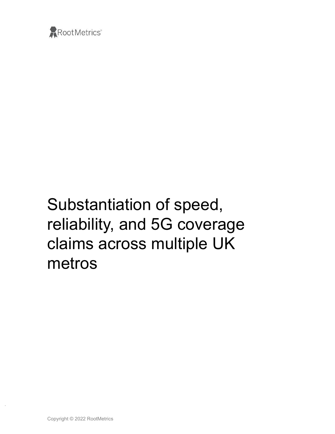

# Substantiation of speed, reliability, and 5G coverage claims across multiple UK metros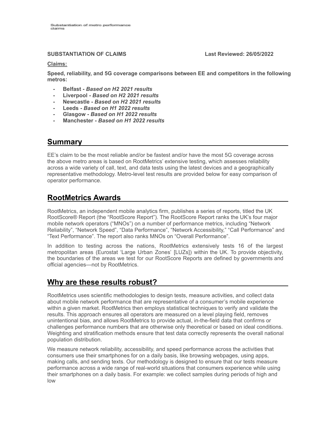#### **SUBSTANTIATION OF CLAIMS Last Reviewed: 26/05/2022**

#### **Claims:**

**Speed, reliability, and 5G coverage comparisons between EE and competitors in the following metros:**

- **- Belfast -** *Based on H2 2021 results*
- **- Liverpool -** *Based on H2 2021 results*
- **- Newcastle -** *Based on H2 2021 results*
- **- Leeds -** *Based on H1 2022 results*
- **- Glasgow -** *Based on H1 2022 results*
- **- Manchester -** *Based on H1 2022 results*

#### **Summary**

EE's claim to be the most reliable and/or be fastest and/or have the most 5G coverage across the above metro areas is based on RootMetrics' extensive testing, which assesses reliability across a wide variety of call, text, and data tests using the latest devices and a geographically representative methodology. Metro-level test results are provided below for easy comparison of operator performance.

# **RootMetrics Awards**

RootMetrics, an independent mobile analytics firm, publishes a series of reports, titled the UK RootScore® Report (the "RootScore Report"). The RootScore Report ranks the UK's four major mobile network operators ("MNOs") on a number of performance metrics, including "Network Reliability", "Network Speed", "Data Performance", "Network Accessibility," "Call Performance" and "Text Performance". The report also ranks MNOs on "Overall Performance".

In addition to testing across the nations, RootMetrics extensively tests 16 of the largest metropolitan areas (Eurostat 'Large Urban Zones' [LUZs]) within the UK. To provide objectivity, the boundaries of the areas we test for our RootScore Reports are defined by governments and official agencies—not by RootMetrics.

### **Why are these results robust?**

RootMetrics uses scientific methodologies to design tests, measure activities, and collect data about mobile network performance that are representative of a consumer's mobile experience within a given market. RootMetrics then employs statistical techniques to verify and validate the results. This approach ensures all operators are measured on a level playing field, removes unintentional bias, and allows RootMetrics to provide actual, in-the-field data that confirms or challenges performance numbers that are otherwise only theoretical or based on ideal conditions. Weighting and stratification methods ensure that test data correctly represents the overall national population distribution.

We measure network reliability, accessibility, and speed performance across the activities that consumers use their smartphones for on a daily basis, like browsing webpages, using apps, making calls, and sending texts. Our methodology is designed to ensure that our tests measure performance across a wide range of real-world situations that consumers experience while using their smartphones on a daily basis. For example: we collect samples during periods of high and low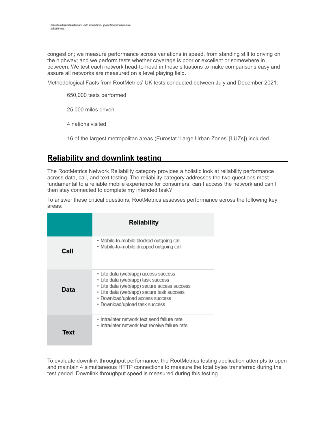congestion; we measure performance across variations in speed, from standing still to driving on the highway; and we perform tests whether coverage is poor or excellent or somewhere in between. We test each network head-to-head in these situations to make comparisons easy and assure all networks are measured on a level playing field.

Methodological Facts from RootMetrics' UK tests conducted between July and December 2021:

650,000 tests performed

25,000 miles driven

4 nations visited

16 of the largest metropolitan areas (Eurostat 'Large Urban Zones' [LUZs]) included

### **Reliability and downlink testing**

The RootMetrics Network Reliability category provides a holistic look at reliability performance across data, call, and text testing. The reliability category addresses the two questions most fundamental to a reliable mobile experience for consumers: can I access the network and can I then stay connected to complete my intended task?

To answer these critical questions, RootMetrics assesses performance across the following key areas:

|      | <b>Reliability</b>                                                                                                                                                                                                                           |
|------|----------------------------------------------------------------------------------------------------------------------------------------------------------------------------------------------------------------------------------------------|
| Call | • Mobile-to-mobile blocked outgoing call<br>· Mobile-to-mobile dropped outgoing call                                                                                                                                                         |
| Data | • Lite data (web/app) access success<br>• Lite data (web/app) task success<br>• Lite data (web/app) secure access success<br>• Lite data (web/app) secure task success<br>• Download/upload access success<br>• Download/upload task success |
| Text | • Intra/inter-network text send failure rate<br>• Intra/inter-network text receive failure rate                                                                                                                                              |

To evaluate downlink throughput performance, the RootMetrics testing application attempts to open and maintain 4 simultaneous HTTP connections to measure the total bytes transferred during the test period. Downlink throughput speed is measured during this testing.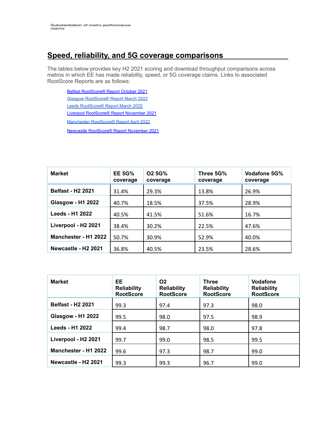# **Speed, reliability, and 5G coverage comparisons**

The tables below provides key H2 2021 scoring and download throughput comparisons across metros in which EE has made reliability, speed, or 5G coverage claims. Links to associated RootScore Reports are as follows:

Belfast [RootScore®](https://rootmetrics.com/en-GB/rootscore/map/metro/belfast/2021/2H) Report October 2021 Glasgow [RootScore®](https://rootmetrics.com/en-GB/rootscore/map/metro/glasgow/2022/1How/2021/2H) Report March 2022 Leeds [RootScore®](https://rootmetrics.com/en-GB/rootscore/map/metro/leeds-and-bradford/2022/1H) Report March 2022 Liverpool [RootScore®](https://rootmetrics.com/en-GB/rootscore/map/metro/liverpool/2021/2H) Report November 2021

Manchester [RootScore®](https://rootmetrics.com/en-GB/rootscore/map/metro/manchester/2022/1H) Report April 2022

Newcastle [RootScore®](https://rootmetrics.com/en-GB/rootscore/map/metro/newcastle/2021/2H) Report November 2021

| <b>Market</b>                   | <b>EE 5G%</b><br>coverage | O <sub>2</sub> 5G%<br>coverage | Three 5G%<br>coverage | Vodafone 5G%<br>coverage |
|---------------------------------|---------------------------|--------------------------------|-----------------------|--------------------------|
| <b>Belfast - H2 2021</b>        | 31.4%                     | 29.3%                          | 13.8%                 | 26.9%                    |
| <b>Glasgow - H1 2022</b>        | 40.7%                     | 18.5%                          | 37.5%                 | 28.9%                    |
| Leeds - H1 2022                 | 40.5%                     | 41.5%                          | 51.6%                 | 16.7%                    |
| Liverpool - H2 2021             | 38.4%                     | 30.2%                          | 22.5%                 | 47.6%                    |
| Manchester - H1 2022            | 50.7%                     | 30.9%                          | 52.9%                 | 40.0%                    |
| Newcastle - H <sub>2</sub> 2021 | 36.8%                     | 40.5%                          | 23.5%                 | 28.6%                    |

| <b>Market</b>                   | EE.<br><b>Reliability</b><br><b>RootScore</b> | O <sub>2</sub><br><b>Reliability</b><br><b>RootScore</b> | <b>Three</b><br><b>Reliability</b><br><b>RootScore</b> | <b>Vodafone</b><br><b>Reliability</b><br><b>RootScore</b> |
|---------------------------------|-----------------------------------------------|----------------------------------------------------------|--------------------------------------------------------|-----------------------------------------------------------|
| <b>Belfast - H2 2021</b>        | 99.3                                          | 97.4                                                     | 97.3                                                   | 98.0                                                      |
| <b>Glasgow - H1 2022</b>        | 99.5                                          | 98.0                                                     | 97.5                                                   | 98.9                                                      |
| Leeds - H1 2022                 | 99.4                                          | 98.7                                                     | 98.0                                                   | 97.8                                                      |
| Liverpool - H2 2021             | 99.7                                          | 99.0                                                     | 98.5                                                   | 99.5                                                      |
| Manchester - H1 2022            | 99.6                                          | 97.3                                                     | 98.7                                                   | 99.0                                                      |
| Newcastle - H <sub>2</sub> 2021 | 99.3                                          | 99.3                                                     | 96.7                                                   | 99.0                                                      |